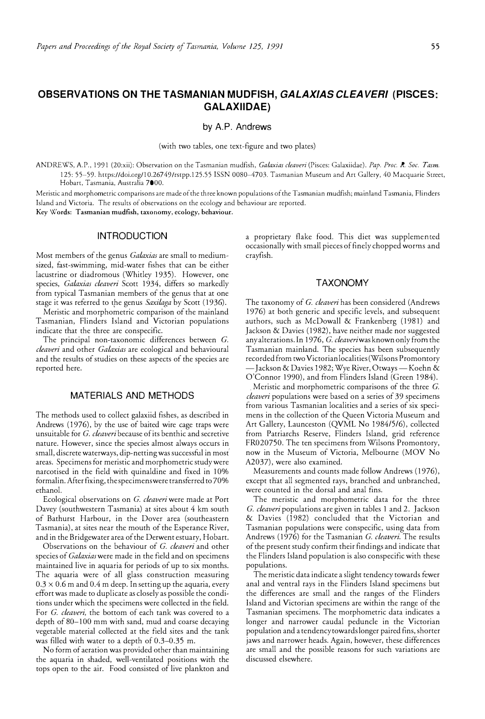# **OBSERVATIONS ON THE TASMANIAN MUDFISH,** *GALAX/AS CLEAVER/* **(PISCES: GALAXIIDAE}**

by A.P. Andrews

(with two tables, one text-figure and two plates)

ANDREWS, A.P., 1991 (20:xii): Observation on the Tasmanian mudfish, *Galaxias cleaveri* (Pisces: Galaxiidae). *Pap. Proc. R. Soc. Tasm.*  125: 55-59. https://doi.org/10.26749/rstpp.125.55 ISSN 0080-4703. Tasmanian Museum and Art Gallery, 40 Macquarie Street, Hobart, Tasmania, Australia 7000.

Meristic and morphometric comparisons are made of the three known populations of the Tasmanian mudfish; mainland Tasmania, Flinders Island and Victoria. The results of observations on the ecology and behaviour are reported.

**Key Words: Tasmanian mudfish, taxonomy, ecology, behaviour.** 

# **INTRODUCTION**

Most members of the genus *Galaxias* are small to mediumsized, fast-swimming, mid-water fishes that can be either lacustrine or diadromous (Whitley 1935). However, one species, *Galaxias cleaveri* Scott 1934, differs so markedly from typical Tasmanian members of the genus that at one stage it was referred to the genus *Saxilaga* by Scott (1936).

Meristic and morphometric comparison of the mainland Tasmanian, Flinders Island and Victorian populations indicate that the three are conspecific.

The principal non-taxonomic differences between *G. cleaveri* and other *Galaxias* are ecological and behavioural and the results of studies on these aspects of the species are reported here.

### **MATERIALS AND METHODS**

The methods used to collect galaxiid fishes, as described in Andrews (1976), by the use of baited wire cage traps were unsuitable for *G. cleaveri* because of its benthic and secretive nature. However, since the species almost always occurs in small, discrete waterways, dip-netting was successful in most areas. Specimens for meristic and morphometric study were narcotised in the field with quinaldine and fixed in 10% formalin. After fixing, the specimens were transferred to 70% ethanol.

Ecological observations on *G. cleaveri* were made at Port Davey (southwestern Tasmania) at sites about 4 km south of Bathurst Harbour, in the Dover area (southeastern Tasmania), at sites near the mouth of the Esperance River, and in the Bridgewater area of the Derwent estuary, Hobart.

Observations on the behaviour of *G. cleaveri* and other species of *Galaxias* were made in the field and on specimens maintained live in aquaria for periods of up to six months. The aquaria were of all glass construction measuring  $0.3 \times 0.6$  m and  $0.4$  m deep. In setting up the aquaria, every effort was made to duplicate as closely as possible the conditions under which the specimens were collected in the field. For *G. cleaveri,* the bottom of each tank was covered to a depth of 80-100 mm with sand, mud and coarse decaying vegetable material collected at the field sites and the tank was filled with water to a depth of 0.3-0.35 m.

No form of aeration was provided other than maintaining the aquaria in shaded, well-ventilated positions with the tops open to the air. Food consisted of live plankton and

a proprietary flake food. This diet was supplemented occasionally with small pieces of finely chopped worms and crayfish.

### **TAXONOMY**

The taxonomy of *G. cleaveri* has been considered (Andrews 1976) at both generic and specific levels, and subsequent authors, such as McDowall & Frankenberg (1981) and Jackson & Davies (1982), have neither made nor suggested any alterations. In 1976, *G. cleaveriwas* known only from the Tasmanian mainland. The species has been subsequently recorded from two Victorian localities (Wilsons Promontory - Jackson & Davies 1982; Wye River, Otways — Koehn  $\stackrel{\circ}{\&}$ O'Connor 1990), and from Flinders Island (Green 1984).

Meristic and morphometric comparisons of the three *G*. *cleaveri* populations were based on a series of 39 specimens from various Tasmanian localities and a series of six specimens in the collection of the Queen Victoria Museum and Art Gallery, Launceston (QVML No 1984/5/6), collected from Patriarchs Reserve, Flinders Island, grid reference FR020750. The ten specimens from Wilsons Promontory, now in the Museum of Victoria, Melbourne (MOV No A2037), were also examined.

Measurements and counts made follow Andrews (1976), except that all segmented rays, branched and unbranched, were counted in the dorsal and anal fins.

The meristic and morphometric data for the three *G. cleaveri* populations are given in tables 1 and 2. Jackson & Davies (1982) concluded that the Victorian and Tasmanian populations were conspecific, using data from Andrews (1976) for the Tasmanian *G. cleaveri.* The results of the present study confirm their findings and indicate that the Flinders Island population is also conspecific with these populations.

The meristic data indicate a slight tendency towards fewer anal and ventral rays in the Flinders Island specimens but the differences are small and the ranges of the Flinders Island and Victorian specimens are within the range of the Tasmanian specimens. The morphometric data indicates a longer and narrower caudal peduncle in the Victorian population and a tendency towards longer paired fins, shorter jaws and narrower heads. Again, however, these differences are small and the possible reasons for such variations are discussed elsewhere.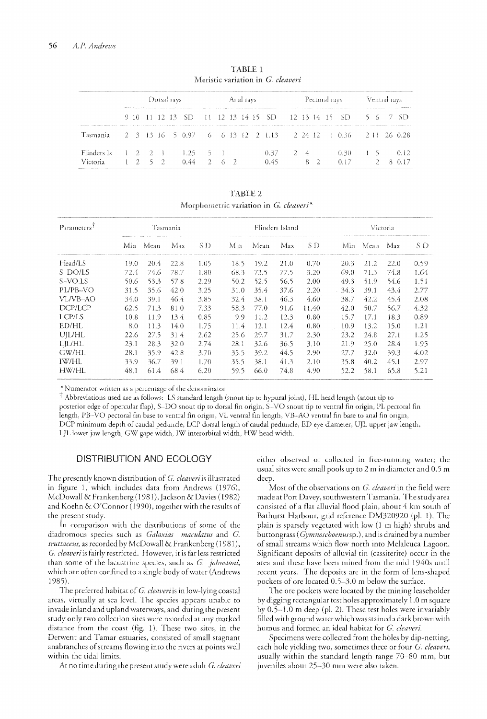|                                | Dotsal rays |  |                 |  |  |                                        | Anal rays |  |  |  |  | Pectoral rays                                                                                                   |  |  |         |  | Ventral rays                                                                                                                                                                                                                                                                                 |    |  |  |      |
|--------------------------------|-------------|--|-----------------|--|--|----------------------------------------|-----------|--|--|--|--|-----------------------------------------------------------------------------------------------------------------|--|--|---------|--|----------------------------------------------------------------------------------------------------------------------------------------------------------------------------------------------------------------------------------------------------------------------------------------------|----|--|--|------|
|                                |             |  |                 |  |  |                                        |           |  |  |  |  | The contract of the property of the contract of the property of the contract of the contract of the contract of |  |  |         |  | the community of the community of the community of the community of the community of the community of the community of the community of the community of the community of the community of the community of the community of t<br>9 10 11 12 13 SD 11 12 13 14 15 SD 12 13 14 15 SD 5 6 7 SD |    |  |  |      |
| Tasmania                       |             |  |                 |  |  |                                        |           |  |  |  |  |                                                                                                                 |  |  |         |  | 2 3 13 16 5 0.97 6 6 13 12 2 1.13 2 24 12 1 0.36 2 11 26 0.28                                                                                                                                                                                                                                |    |  |  |      |
| Flinders Is<br><i>Victoria</i> |             |  | $1 \t2 \t5 \t2$ |  |  | $1 \t2 \t2 \t1 \t1.25 \t5 \t1$<br>0.44 | 26.2      |  |  |  |  | $0.37 \t 2 \t 4$<br>0.45                                                                                        |  |  | $8 \t2$ |  | $0.30 -$                                                                                                                                                                                                                                                                                     | 15 |  |  | 0.12 |

TABLE 1 Meristic variation in G. cleaveri

TABLE<sub>2</sub> Morphometric variation in G. cleaveri\*

| Parameters <sup>†</sup> |      |      | Tasmania |      |      |      | Flinders Island |       | Victoria |      |      |      |  |
|-------------------------|------|------|----------|------|------|------|-----------------|-------|----------|------|------|------|--|
|                         | Min. | Mean | Max      | S D  | Min  | Mean | Max             | S D-  | Min.     | Mean | Max  | S D  |  |
| Head/LS                 | 19.0 | 20.4 | 22.8     | 1.05 | 18.5 | 19.2 | 21.0            | 0.70  | 20.3     | 21.2 | 22.0 | 0.59 |  |
| S-DO/LS                 | 72.4 | 74.6 | 78.7     | 1.80 | 68.3 | 73.5 | 77.5            | 3.20  | 69.0     | 71.3 | 74.8 | 1.64 |  |
| S-VO.LS                 | 50.6 | 53.3 | 57.8     | 2.29 | 50.2 | 52.5 | 56.5            | 2.00  | 49.3     | 51.9 | 54.6 | 1.51 |  |
| PL/PB-VO                | 31.5 | 35.6 | 42.0     | 3.25 | 31.0 | 35.4 | 37.6            | 2.20. | 34.3     | 39.1 | 43.4 | 2.77 |  |
| VL/VB-AO                | 34.0 | 39.1 | 46.4     | 3.85 | 32.4 | 38.1 | 46.3            | 4.60  | 38.7     | 42.2 | 45.4 | 2.08 |  |
| DCP/LCP                 | 62.5 | 71.3 | 81.0     | 7.33 | 58.3 | 77.0 | 91.6            | 11.40 | 42.0     | 50.7 | 56.7 | 4.32 |  |
| LCP/LS                  | 10.8 | 11.9 | 13.4     | 0.85 | 9.9  | 11.2 | 12.3            | 0.80  | 15.7     | 17.1 | 18.3 | 0.89 |  |
| ED/HL                   | 8.0  | 11.3 | 14.0     | 1.75 | 11.4 | 12.1 | 12.4            | 0.80  | 10.9     | 13.2 | 15.0 | 1.21 |  |
| UJL/HL                  | 22.6 | 27.5 | 31.4     | 2.62 | 25.6 | 29.7 | 31.7            | 2.30  | 23.2     | 24.8 | 27.1 | 1.25 |  |
| LJL/HL                  | 23.1 | 28.3 | 32.0     | 2.74 | 28.1 | 32.6 | 36.5            | 3.10  | 21.9     | 25.0 | 28.4 | 1.95 |  |
| GW/HL                   | 28.1 | 35.9 | 42.8     | 3.70 | 35.5 | 39.2 | 44.5            | 2.90  | 27.7     | 32.0 | 39.3 | 4.02 |  |
| IW/HL                   | 33.9 | 36.7 | 39.1     | 1.70 | 35.5 | 38.1 | 41.3            | 2.10  | 35.8     | 40.2 | 45.1 | 2.97 |  |
| HW/HL                   | 48.1 | 61.4 | 68.4     | 6.20 | 59.5 | 66.0 | 74.8            | 4.90  | 52.2     | 58.1 | 65.8 | 5.21 |  |

\*Numerator written as a percentage of the denominator

 $^{\dagger}$  Abbreviations used are as follows: LS standard length (snout tip to hypural joint), HL head length (snout tip to posterior edge of opercular flap), S-DO snout tip to dorsal fin origin, S-VO snout tip to ventral fin origin, PL pectoral fin length, PB-VO pectoral fin base to ventral fin origin, VL ventral fin length, VB-AO ventral fin base to anal fin origin, DCP minimum depth of caudal peduncle, LCP dorsal length of caudal peduncle, ED eye diameter, UJL upper jaw length, LJL lower jaw length, GW gape width, IW interorbital width, HW head width.

## **DISTRIBUTION AND ECOLOGY**

The presently known distribution of G. cleaveri is illustrated in figure 1, which includes data from Andrews (1976), McDowall & Frankenberg (1981), Jackson & Davies (1982) and Koehn & O'Connor (1990), together with the results of the present study.

In comparison with the distributions of some of the diadromous species such as Galaxias maculatus and G. truttaceus, as recorded by McDowall & Frankenberg (1981), G. cleaveri is fairly restricted. However, it is far less restricted than some of the lacustrine species, such as G. johnstoni, which are often confined to a single body of water (Andrews 1985).

The preferred habitat of G. cleaveri is in low-lying coastal areas, virtually at sea level. The species appears unable to invade inland and upland waterways, and during the present study only two collection sites were recorded at any marked distance from the coast (fig. 1). These two sites, in the Derwent and Tamar estuaries, consisted of small stagnant anabranches of streams flowing into the rivers at points well within the tidal limits.

At no time during the present study were adult G. cleaveri

either observed or collected in free-running water; the usual sites were small pools up to 2 m in diameter and 0.5 m deep.

Most of the observations on G. cleaveri in the field were made at Port Davey, southwestern Tasmania. The study area consisted of a flat alluvial flood plain, about 4 km south of Bathurst Harbour, grid reference DM320920 (pl. 1). The plain is sparsely vegetated with low (1 m high) shrubs and buttongrass (Gymnoschoenussp.), and is drained by a number of small streams which flow north into Melaleuca Lagoon. Significant deposits of alluvial tin (cassiterite) occur in the area and these have been mined from the mid 1940s until recent years. The deposits are in the form of lens-shaped pockets of ore located 0.5-3.0 m below the surface.

The ore pockets were located by the mining leaseholder by digging rectangular test holes approximately 1.0 m square by  $0.5-1.0$  m deep (pl. 2). These test holes were invariably filled with ground water which was stained a dark brown with humus and formed an ideal habitat for G. cleaveri.

Specimens were collected from the holes by dip-netting, each hole yielding two, sometimes three or four G. cleaveri, usually within the standard length range 70-80 mm, but juveniles about 25-30 mm were also taken.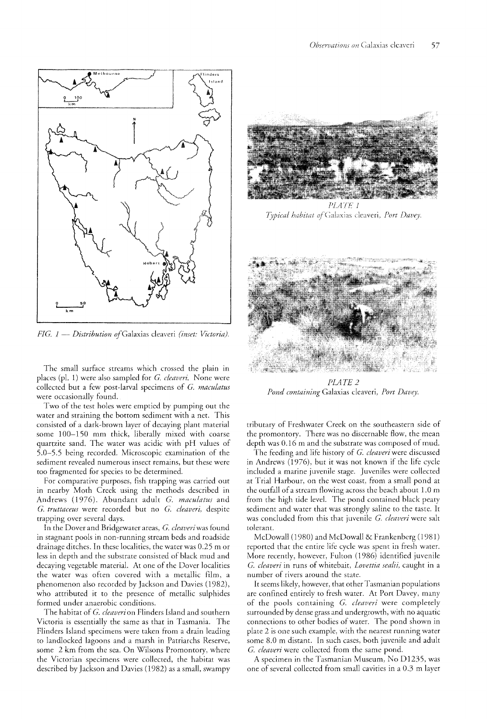

*FIG. 1 -- Distribution of Galaxias cleaveri (inset: Victoria).* 

The small surface streams which crossed the plain in places (pl. 1) were also sampled for G. cleaveri. None were collected but a few post-larval specimens of G. maculatus were occasionally found.

Two of the test holes were emptied by pumping out the water and straining the bottom sediment with a net. This consisted of a dark-brown layer of decaying plant material some 100-150 mm thick, liberally mixed with coarse quartzite sand. The water was acidic with pH values of 5.0–5.5 being recorded. Microscopic examination of the sediment revealed numerous insect remains, but these were too fragmented for species to be determined.

For comparative purposes, fish trapping was carried out in nearby Moth Creek using the methods described in Andrews (1976). Abundant adult G. maculatus and G. truttaceus were recorded but no G. cleaveri, despite trapping over several

In the Dover and Bridgewater areas, G. cleaveri was found in stagnant pools in non-running stream beds and roadside drainage ditches. In these localities, the water was 0.25 m or less in depth and the substrate consisted of black mud and decaying vegetable material. At one of the Dover localities the water was often covered with a metallic film, a phenomenon also recorded by Jackson and Davies (1982), who attributed it to the presence of metallic sulphides formed under anaerobic conditions.

The habitat of G. cleaveri on Flinders Island and southern Victoria is essentially the same as that in Tasmania. The Flinders Island specimens were taken from a drain leading to landlocked iagoons and a marsh in Patriarchs Reserve, some 2 km from the sea. On Wilsons Promontory, where the Victorian specimens were collected, the habitat was described by Jackson and Davies (1982) as a small, swampy



PLATE 1 Typical habitat of Galaxias cleaveri, Port Davey.



PLATE<sub>2</sub> Pond containing Galaxias cleaveri, Port Davey.

tributary of Freshwater Creek on the southeastern side of the promontory. There was no discernable flow, the mean depth was 0.16 m and the substrate was composed of mud.

The feeding and life history of G. *cleaveri* were discussed in Andrews (1976), but it was not known if the life cycle included a marine juvenile stage. Juveniles were collected at Trial Harbour, on the west coast, from a small pond at the outfall of a stream flowing across the beach about  $1.0 \text{ m}$ from the high tide level. The pond contained black peaty sediment and water that was strongly saline to the taste. It was concluded from this that juvenile G. cleaveri were salt tolerant.

McDowall (1980) and McDowall  $&$  Frankenberg (1981) reported that the entire life cycle was spent in fresh water. More recently, however, Fulton (1986) identified juvenile G. cleaveri in runs of whitebait, Lovettia sealii, caught in a number of rivers around the state.

It seems likely, however, that other Tasmanian populations are confined entirely to fresh water. At Port Davey, of the pools containing G. *cleaveri* were completely surrounded by dense grass and undergrowth, with no aquatic connections to other bodies of water. The pond shown in plate 2 is one such example, with the nearest running water some 8.0 m distant. In such cases, both juvenile and adult G. *cleaveri* were collected from the same pond.

A specimen in the Tasmanian Museum, No D1235, was one of several collected from small cavities in a 0.3 m layer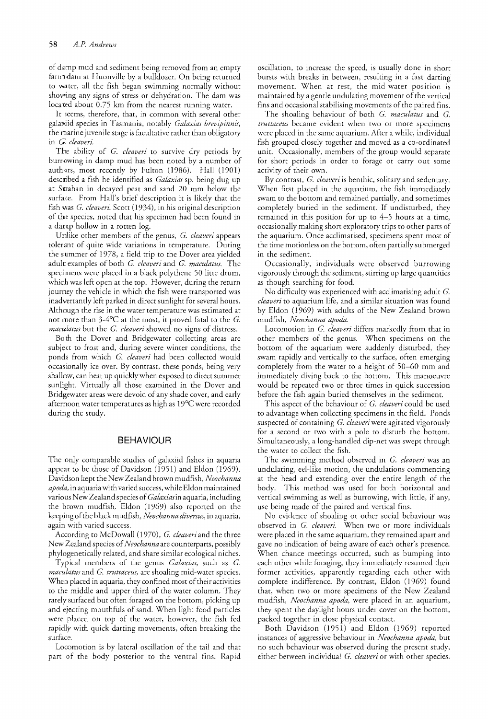of damp mud and sediment being removed from an empty farm dam at Huonville by a bulldozer. On being returned to water, all the fish began swimming normally without showing any signs of stress or dehydration. The dam was located about 0.75 km from the nearest running water.

It seems, therefore, that, in common with several other galaxiid species in Tasmania, notably *Galaxias brevipinnis*, the marine juvenile stage is facultative rather than obligatory in *G. cleaveri.* 

The ability of *G. cleaveri* to survive dry periods by burrowing in damp mud has been noted by a number of authors, most recently by Fulton (1986). Hall (1901) described a fish he identified as *Galaxias* sp. being dug up at Strahan in decayed peat and sand 20 mm below the surface. From Hall's brief description it is likely that the fish was *G. cleaveri*. Scott (1934), in his original description of the species, noted that his specimen had been found in a damp hollow in a rotten log.

Unlike other members of the genus, *G. cleaveri* appears tolerant of quite wide variations in temperature. During the summer of 1978, a field trip to the Dover area yielded adult examples of both *G. cleaveri* and G. *maculatus.* The specimens were placed in a black polythene 50 litre drum, which was left open at the top. However, during the return journey the vehicle in which the fish were transported was inadvertantly left parked in direct sunlight for several hours. Although the rise in the water temperature was estimated at not more than  $3-4$ °C at the most, it proved fatal to the G. *maculatus* but the *G. cleaveri* showed no signs of distress.

Both the Dover and Bridgewater collecting areas are subject to frost and, during severe winter conditions, the ponds from which *G. cleaveri* had been collected would occasionally ice over. By contrast, these ponds, being very shallow, can heat up quickly when exposed to direct summer sunlight. Virtually all those examined in the Dover and Bridgewater areas were devoid of any shade cover, and early afternoon water temperatures as high as  $19^{\circ}$ C were recorded during the study.

#### **BEHAVIOUR**

The only comparable studies of galaxiid fishes in aquaria appear to be those of Davidson (1951) and Eldon (1969). Davidson kept the New Zealand brown mudfish, *Neochanna apoda,* in aquaria with varied success, while Eldon maintained various New Zealand species of *Galaxias* in aquaria, including the brown mudfish. Eldon (1969) also reported on the keeping of the blackmudfish, *Neochanna diversus,* in aquaria, again with varied success.

According to McDowall (1970), *G. cleaveri* and the three New Zealand species of *Neochanna* are counterparts, possibly phylogenetically related, and share similar ecological niches.

Typical members of the genus *Galaxias,* such as *G. maculatus* and *G. truttaceus,* are shoaling mid-water species. When placed in aquaria, they confined most of their activities to the middle and upper third of the water column. They rarely surfaced but often foraged on the bottom, picking up and ejecting mouthfuls of sand. When light food particles were placed on top of the water, however, the fish fed rapidly with quick darting movements, often breaking the surface.

Locomotion is by lateral oscillation of the tail and that part of the body posterior to the ventral fins. Rapid

oscillation, to increase the speed, is usually done in short bursts with breaks in hetween, resulting in a fast darting movement. When at rest, the mid-water position is maintained by a gentle undulating movement of the vertical fins and occasional stabilising movements of the paired fins.

The shoaling behaviour of both *G. maculatus* and *G. truttaceus* became evident when two or more specimens were placed in the same aquarium. After a while, individual fish grouped closely together and moved as a co-ordinated unit. Occasionally, members of the group would separate for short periods in order to forage or carry out some activiry of their own.

By contrast, *G. c!eaveri* is benthic, solitary and sedentary. When first placed in the aquarium, the fish immediately swam to the bottom and remained partially, and sometimes completely buried in the sediment. If undisturbed, they remained in this position for up to 4-5 hours at a time, occasionally making short exploratory trips to other parts of the aquarium. Once acclimatised, specimens spent most of the time motionless on the bottom, often partially submerged in the sediment.

Occasionally, individuals were observed burrowing vigorously through the sediment, stirring up large quantities as though searching for food.

No difficulry was experienced with acclimatising adult *G. cleaveri* to aquarium life, and a similar situation was found by Eldon (1969) with adults of the New Zealand brown mudfish, *Neochanna apoda.* 

Locomotion in *G. cleaveri* differs markedly from that in other members of the genus. When specimens on the bottom of the aquarium were suddenly disturbed, they swam rapidly and vertically to the surface, often emerging completely from the water to a height of 50-60 mm and immediately diving back to the bottom. This manoeuvre would be repeated two or three times in quick succession before the fish again buried themselves in the sediment.

This aspect of the behaviour of *G. cleaveri* could be used to advantage when collecting specimens in the field. Ponds suspected of containing *G. cleaveri* were agitated vigorously for a second or two with a pole to disturb the bottom. Simultaneously, a long-handled dip-net was swept through the water to collect the fish.

The swimming method observed in *G. cleaveri* was an undulating, eel-like motion, the undulations commencing at the head and extending over the entire length of the body. This method was used for both horizontal and vertical swimming as well as burrowing, with little, if any, use being made of the paired and vertical fins.

No evidence of shoaling or other social behaviour was observed in G. *cleaveri.* When two or more individuals were placed in the same aquarium, they remained apart and gave no indication of being aware of each other's presence. When chance meetings occurred, such as bumping into each other while foraging, they immediately resumed their former activities, apparently regarding each other with complete indifference. By contrast, Eldon (1969) found that, when two or more specimens of the New Zealand mudfish, *Neochanna apoda,* were placed in an aquarium, they spent the daylight hours under cover on the bottom, packed together in close physical contact.

Both Davidson (1951) and Eldon (1969) reported instances of aggressive behaviour in *Neochanna apoda,* but no such behaviour was observed during the present study, either between individual *G. cleaveri* or with other species.